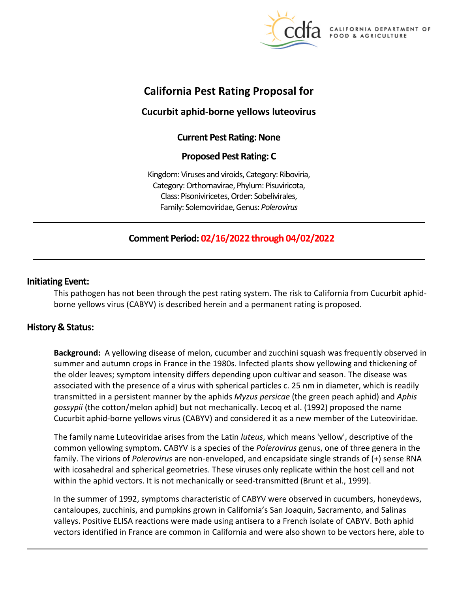

**CALIFORNIA DEPARTMENT OF** FOOD & AGRICULTURE

# **California Pest Rating Proposal for**

## **Cucurbit aphid-borne yellows luteovirus**

## **Current Pest Rating: None**

## **Proposed Pest Rating: C**

Kingdom: Viruses and viroids, Category: Riboviria, Category: Orthornavirae, Phylum: Pisuviricota, Class: Pisoniviricetes, Order: Sobelivirales, Family: Solemoviridae, Genus: *Polerovirus* 

## **Comment Period: 02/16/2022 through 04/02/2022**

## **Initiating Event:**

This pathogen has not been through the pest rating system. The risk to California from Cucurbit aphidborne yellows virus (CABYV) is described herein and a permanent rating is proposed.

## **History & Status:**

**Background:** A yellowing disease of melon, cucumber and zucchini squash was frequently observed in summer and autumn crops in France in the 1980s. Infected plants show yellowing and thickening of the older leaves; symptom intensity differs depending upon cultivar and season. The disease was associated with the presence of a virus with spherical particles c. 25 nm in diameter, which is readily transmitted in a persistent manner by the aphids *Myzus persicae* (the green peach aphid) and *Aphis gossypii* (the cotton/melon aphid) but not mechanically. Lecoq et al. (1992) proposed the name Cucurbit aphid-borne yellows virus (CABYV) and considered it as a new member of the Luteoviridae.

The family name Luteoviridae arises from the Latin *luteus*, which means 'yellow', descriptive of the common yellowing symptom. CABYV is a species of the *Polerovirus* genus, one of three genera in the family. The virions of *Polerovirus* are non-enveloped, and encapsidate single strands of (+) sense RNA with icosahedral and spherical geometries. These viruses only replicate within the host cell and not within the aphid vectors. It is not mechanically or seed-transmitted (Brunt et al., 1999).

In the summer of 1992, symptoms characteristic of CABYV were observed in cucumbers, honeydews, cantaloupes, zucchinis, and pumpkins grown in California's San Joaquin, Sacramento, and Salinas valleys. Positive ELISA reactions were made using antisera to a French isolate of CABYV. Both aphid vectors identified in France are common in California and were also shown to be vectors here, able to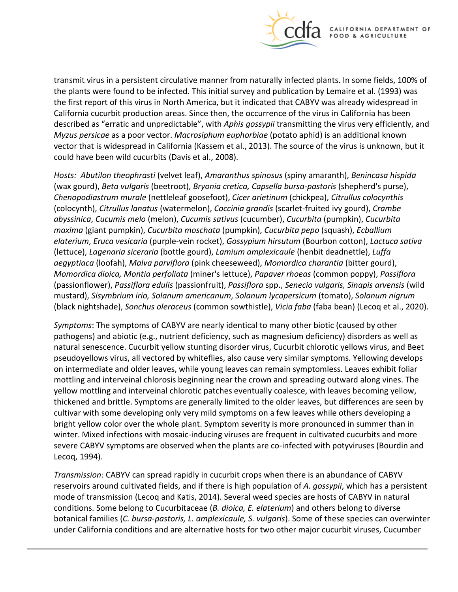

transmit virus in a persistent circulative manner from naturally infected plants. In some fields, 100% of the plants were found to be infected. This initial survey and publication by Lemaire et al. (1993) was the first report of this virus in North America, but it indicated that CABYV was already widespread in California cucurbit production areas. Since then, the occurrence of the virus in California has been described as "erratic and unpredictable", with *Aphis gossypii* transmitting the virus very efficiently, and *Myzus persicae* as a poor vector. *Macrosiphum euphorbiae* (potato aphid) is an additional known vector that is widespread in California (Kassem et al., 2013). The source of the virus is unknown, but it could have been wild cucurbits (Davis et al., 2008).

*Hosts: Abutilon theophrasti* (velvet leaf), *Amaranthus spinosus* (spiny amaranth), *Benincasa hispida*  (wax gourd), *Beta vulgaris* (beetroot), *Bryonia cretica, Capsella bursa-pastoris* (shepherd's purse), *Chenopodiastrum murale* (nettleleaf goosefoot), *Cicer arietinum* (chickpea), *Citrullus colocynthis*  (colocynth), *Citrullus lanatus* (watermelon), *Coccinia grandis* (scarlet-fruited ivy gourd), *Crambe abyssinica*, *Cucumis melo* (melon), *Cucumis sativus* (cucumber), *Cucurbita* (pumpkin), *Cucurbita maxima* (giant pumpkin), *Cucurbita moschata* (pumpkin), *Cucurbita pepo* (squash), *Ecballium elaterium*, *Eruca vesicaria* (purple-vein rocket), *Gossypium hirsutum* (Bourbon cotton), *Lactuca sativa*  (lettuce), *Lagenaria siceraria* (bottle gourd), *Lamium amplexicaule* (henbit deadnettle), *Luffa aegyptiaca* (loofah), *Malva parviflora* (pink cheeseweed), *Momordica charantia* (bitter gourd), *Momordica dioica, Montia perfoliata* (miner's lettuce), *Papaver rhoeas* (common poppy), *Passiflora*  (passionflower), *Passiflora edulis* (passionfruit), *Passiflora* spp., *Senecio vulgaris, Sinapis arvensis* (wild mustard), *Sisymbrium irio, Solanum americanum*, *Solanum lycopersicum* (tomato), *Solanum nigrum*  (black nightshade), *Sonchus oleraceus* (common sowthistle), *Vicia faba* (faba bean) (Lecoq et al., 2020).

*Symptoms*: The symptoms of CABYV are nearly identical to many other biotic (caused by other pathogens) and abiotic (e.g., nutrient deficiency, such as magnesium deficiency) disorders as well as natural senescence. Cucurbit yellow stunting disorder virus, Cucurbit chlorotic yellows virus, and Beet pseudoyellows virus, all vectored by whiteflies, also cause very similar symptoms. Yellowing develops on intermediate and older leaves, while young leaves can remain symptomless. Leaves exhibit foliar mottling and interveinal chlorosis beginning near the crown and spreading outward along vines. The yellow mottling and interveinal chlorotic patches eventually coalesce, with leaves becoming yellow, thickened and brittle. Symptoms are generally limited to the older leaves, but differences are seen by cultivar with some developing only very mild symptoms on a few leaves while others developing a bright yellow color over the whole plant. Symptom severity is more pronounced in summer than in winter. Mixed infections with mosaic-inducing viruses are frequent in cultivated cucurbits and more severe CABYV symptoms are observed when the plants are co-infected with potyviruses (Bourdin and Lecoq, 1994).

*Transmission:* CABYV can spread rapidly in cucurbit crops when there is an abundance of CABYV reservoirs around cultivated fields, and if there is high population of *A. gossypii*, which has a persistent mode of transmission (Lecoq and Katis, 2014). Several weed species are hosts of CABYV in natural conditions. Some belong to Cucurbitaceae (*B. dioica, E. elaterium*) and others belong to diverse botanical families (*C. bursa-pastoris, L. amplexicaule, S. vulgaris*). Some of these species can overwinter under California conditions and are alternative hosts for two other major cucurbit viruses, Cucumber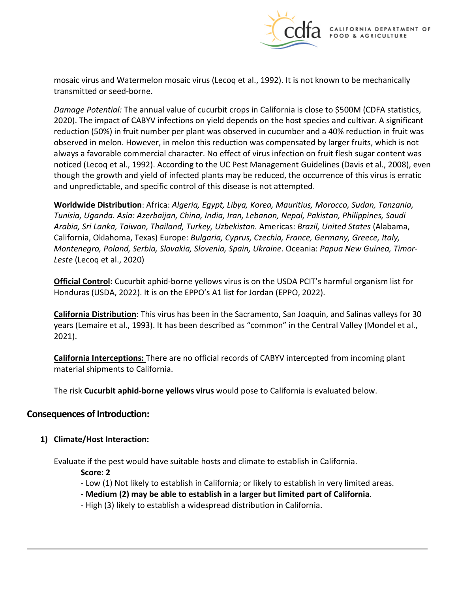

mosaic virus and Watermelon mosaic virus (Lecoq et al., 1992). It is not known to be mechanically transmitted or seed-borne.

*Damage Potential:* The annual value of cucurbit crops in California is close to \$500M (CDFA statistics, 2020). The impact of CABYV infections on yield depends on the host species and cultivar. A significant reduction (50%) in fruit number per plant was observed in cucumber and a 40% reduction in fruit was observed in melon. However, in melon this reduction was compensated by larger fruits, which is not always a favorable commercial character. No effect of virus infection on fruit flesh sugar content was noticed (Lecoq et al., 1992). According to the UC Pest Management Guidelines (Davis et al., 2008), even though the growth and yield of infected plants may be reduced, the occurrence of this virus is erratic and unpredictable, and specific control of this disease is not attempted.

**Worldwide Distribution**: Africa: *Algeria, Egypt, Libya, Korea, Mauritius, Morocco, Sudan, Tanzania, Tunisia, Uganda. Asia: Azerbaijan, China, India, Iran, Lebanon, Nepal, Pakistan, Philippines, Saudi Arabia, Sri Lanka, Taiwan, Thailand, Turkey, Uzbekistan.* Americas: *Brazil, United States* (Alabama, California, Oklahoma, Texas) Europe: *Bulgaria, Cyprus, Czechia, France, Germany, Greece, Italy, Montenegro, Poland, Serbia, Slovakia, Slovenia, Spain, Ukraine*. Oceania: *Papua New Guinea, Timor-Leste* (Lecoq et al., 2020)

**Official Control:** Cucurbit aphid-borne yellows virus is on the USDA PCIT's harmful organism list for Honduras (USDA, 2022). It is on the EPPO's A1 list for Jordan (EPPO, 2022).

**California Distribution**: This virus has been in the Sacramento, San Joaquin, and Salinas valleys for 30 years (Lemaire et al., 1993). It has been described as "common" in the Central Valley (Mondel et al., 2021).

**California Interceptions:** There are no official records of CABYV intercepted from incoming plant material shipments to California.

The risk **Cucurbit aphid-borne yellows virus** would pose to California is evaluated below.

## **Consequences of Introduction:**

#### **1) Climate/Host Interaction:**

Evaluate if the pest would have suitable hosts and climate to establish in California.

**Score**: **2** 

- Low (1) Not likely to establish in California; or likely to establish in very limited areas.
- **- Medium (2) may be able to establish in a larger but limited part of California**.
- High (3) likely to establish a widespread distribution in California.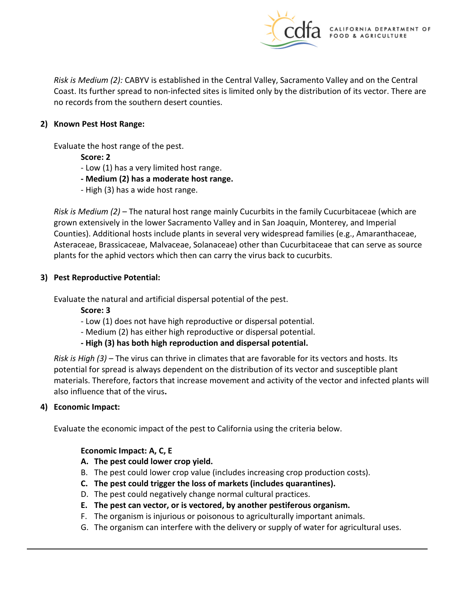

*Risk is Medium (2):* CABYV is established in the Central Valley, Sacramento Valley and on the Central Coast. Its further spread to non-infected sites is limited only by the distribution of its vector. There are no records from the southern desert counties.

#### **2) Known Pest Host Range:**

Evaluate the host range of the pest.

**Score: 2** 

- Low (1) has a very limited host range.
- **- Medium (2) has a moderate host range.**
- High (3) has a wide host range.

*Risk is Medium (2)* – The natural host range mainly Cucurbits in the family Cucurbitaceae (which are grown extensively in the lower Sacramento Valley and in San Joaquin, Monterey, and Imperial Counties). Additional hosts include plants in several very widespread families (e.g., Amaranthaceae, Asteraceae, Brassicaceae, Malvaceae, Solanaceae) other than Cucurbitaceae that can serve as source plants for the aphid vectors which then can carry the virus back to cucurbits.

## **3) Pest Reproductive Potential:**

Evaluate the natural and artificial dispersal potential of the pest.

**Score: 3** 

- Low (1) does not have high reproductive or dispersal potential.
- Medium (2) has either high reproductive or dispersal potential.
- **- High (3) has both high reproduction and dispersal potential.**

*Risk is High (3) –* The virus can thrive in climates that are favorable for its vectors and hosts. Its potential for spread is always dependent on the distribution of its vector and susceptible plant materials. Therefore, factors that increase movement and activity of the vector and infected plants will also influence that of the virus**.** 

## **4) Economic Impact:**

Evaluate the economic impact of the pest to California using the criteria below.

## **Economic Impact: A, C, E**

- **A. The pest could lower crop yield.**
- B. The pest could lower crop value (includes increasing crop production costs).
- **C. The pest could trigger the loss of markets (includes quarantines).**
- D. The pest could negatively change normal cultural practices.
- **E. The pest can vector, or is vectored, by another pestiferous organism.**
- F. The organism is injurious or poisonous to agriculturally important animals.
- G. The organism can interfere with the delivery or supply of water for agricultural uses.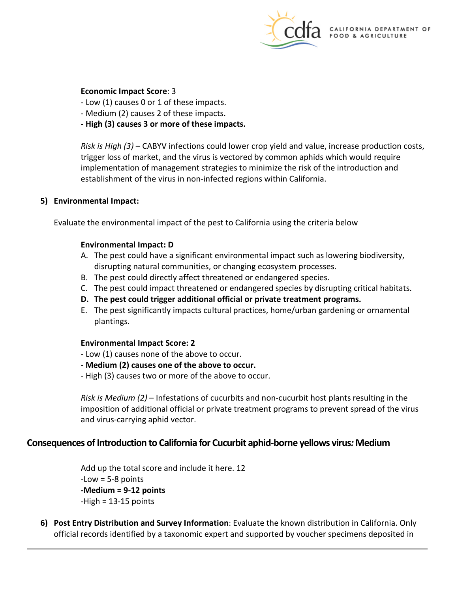

#### **Economic Impact Score**: 3

- Low (1) causes 0 or 1 of these impacts.
- Medium (2) causes 2 of these impacts.
- **- High (3) causes 3 or more of these impacts.**

*Risk is High (3)* – CABYV infections could lower crop yield and value, increase production costs, trigger loss of market, and the virus is vectored by common aphids which would require implementation of management strategies to minimize the risk of the introduction and establishment of the virus in non-infected regions within California.

#### **5) Environmental Impact:**

Evaluate the environmental impact of the pest to California using the criteria below

#### **Environmental Impact: D**

- A. The pest could have a significant environmental impact such as lowering biodiversity, disrupting natural communities, or changing ecosystem processes.
- B. The pest could directly affect threatened or endangered species.
- C. The pest could impact threatened or endangered species by disrupting critical habitats.
- **D. The pest could trigger additional official or private treatment programs.**
- E. The pest significantly impacts cultural practices, home/urban gardening or ornamental plantings.

#### **Environmental Impact Score: 2**

- Low (1) causes none of the above to occur.
- **- Medium (2) causes one of the above to occur.**
- High (3) causes two or more of the above to occur.

*Risk is Medium (2)* – Infestations of cucurbits and non-cucurbit host plants resulting in the imposition of additional official or private treatment programs to prevent spread of the virus and virus-carrying aphid vector.

## **Consequences of Introduction to California for Cucurbit aphid-borne yellows virus***:* **Medium**

Add up the total score and include it here. 12  $-Low = 5-8$  points **-Medium = 9-12 points**  -High = 13-15 points

**6) Post Entry Distribution and Survey Information**: Evaluate the known distribution in California. Only official records identified by a taxonomic expert and supported by voucher specimens deposited in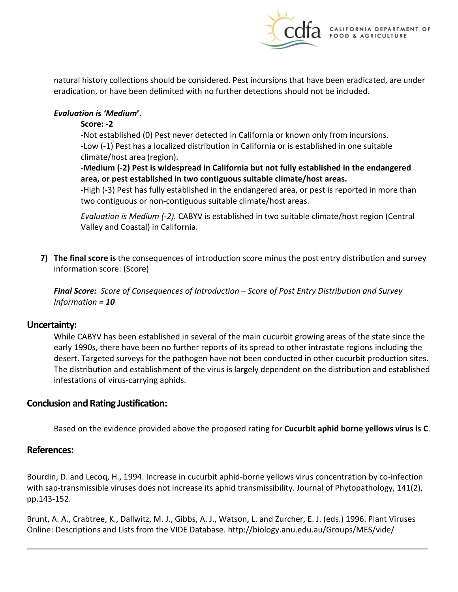

natural history collections should be considered. Pest incursions that have been eradicated, are under eradication, or have been delimited with no further detections should not be included.

## *Evaluation is 'Medium***'**.

## **Score: -2**

-Not established (0) Pest never detected in California or known only from incursions. **-**Low (-1) Pest has a localized distribution in California or is established in one suitable climate/host area (region).

## **-Medium (-2) Pest is widespread in California but not fully established in the endangered area, or pest established in two contiguous suitable climate/host areas.**

-High (-3) Pest has fully established in the endangered area, or pest is reported in more than two contiguous or non-contiguous suitable climate/host areas.

*Evaluation is Medium (-2).* CABYV is established in two suitable climate/host region (Central Valley and Coastal) in California.

**7) The final score is** the consequences of introduction score minus the post entry distribution and survey information score: (Score)

*Final Score: Score of Consequences of Introduction – Score of Post Entry Distribution and Survey Information = 10* 

## **Uncertainty:**

While CABYV has been established in several of the main cucurbit growing areas of the state since the early 1990s, there have been no further reports of its spread to other intrastate regions including the desert. Targeted surveys for the pathogen have not been conducted in other cucurbit production sites. The distribution and establishment of the virus is largely dependent on the distribution and established infestations of virus-carrying aphids.

## **Conclusion and Rating Justification:**

Based on the evidence provided above the proposed rating for **Cucurbit aphid borne yellows virus is C**.

## **References:**

Bourdin, D. and Lecoq, H., 1994. Increase in cucurbit aphid-borne yellows virus concentration by co-infection with sap-transmissible viruses does not increase its aphid transmissibility. Journal of Phytopathology, 141(2), pp.143-152.

Brunt, A. A., Crabtree, K., Dallwitz, M. J., Gibbs, A. J., Watson, L. and Zurcher, E. J. (eds.) 1996. Plant Viruses Online: Descriptions and Lists from the VIDE Database. [http://biology.anu.edu.au/Groups/MES/vide/](http://biology.anu.edu.au/Groups/MES/vide)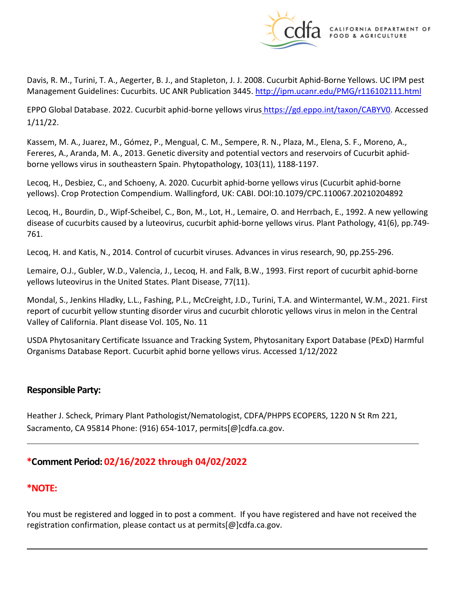

Davis, R. M., Turini, T. A., Aegerter, B. J., and Stapleton, J. J. 2008. Cucurbit Aphid-Borne Yellows. UC IPM pest Management Guidelines: Cucurbits. UC ANR Publication 3445.<http://ipm.ucanr.edu/PMG/r116102111.html>

EPPO Global Database. 2022. Cucurbit aphid-borne yellows virus [https://gd.eppo.int/taxon/CABYV0.](https://gd.eppo.int/taxon/CABYV0) Accessed 1/11/22.

Kassem, M. A., Juarez, M., Gómez, P., Mengual, C. M., Sempere, R. N., Plaza, M., Elena, S. F., Moreno, A., Fereres, A., Aranda, M. A., 2013. Genetic diversity and potential vectors and reservoirs of Cucurbit aphidborne yellows virus in southeastern Spain. Phytopathology, 103(11), 1188-1197.

Lecoq, H., Desbiez, C., and Schoeny, A. 2020. Cucurbit aphid-borne yellows virus (Cucurbit aphid-borne yellows). Crop Protection Compendium. Wallingford, UK: CABI. DOI:10.1079/CPC.110067.20210204892

Lecoq, H., Bourdin, D., Wipf-Scheibel, C., Bon, M., Lot, H., Lemaire, O. and Herrbach, E., 1992. A new yellowing disease of cucurbits caused by a luteovirus, cucurbit aphid-borne yellows virus. Plant Pathology, 41(6), pp.749- 761.

Lecoq, H. and Katis, N., 2014. Control of cucurbit viruses. Advances in virus research, 90, pp.255-296.

Lemaire, O.J., Gubler, W.D., Valencia, J., Lecoq, H. and Falk, B.W., 1993. First report of cucurbit aphid-borne yellows luteovirus in the United States. Plant Disease, 77(11).

Mondal, S., Jenkins Hladky, L.L., Fashing, P.L., McCreight, J.D., Turini, T.A. and Wintermantel, W.M., 2021. First report of cucurbit yellow stunting disorder virus and cucurbit chlorotic yellows virus in melon in the Central Valley of California. Plant disease Vol. 105, No. 11

USDA Phytosanitary Certificate Issuance and Tracking System, Phytosanitary Export Database (PExD) Harmful Organisms Database Report. Cucurbit aphid borne yellows virus. Accessed 1/12/2022

## **Responsible Party:**

Heather J. Scheck, Primary Plant Pathologist/Nematologist, CDFA/PHPPS ECOPERS, 1220 N St Rm 221, Sacramento, CA 95814 Phone: (916) 654-1017, [permits\[@\]cdfa.ca.gov](https://permits[@]cdfa.ca.gov).

## **\*Comment Period: 02/16/2022 through 04/02/2022**

## **\*NOTE:**

You must be registered and logged in to post a comment. If you have registered and have not received the registration confirmation, please contact us at [permits\[@\]cdfa.ca.gov](https://permits[@]cdfa.ca.gov).